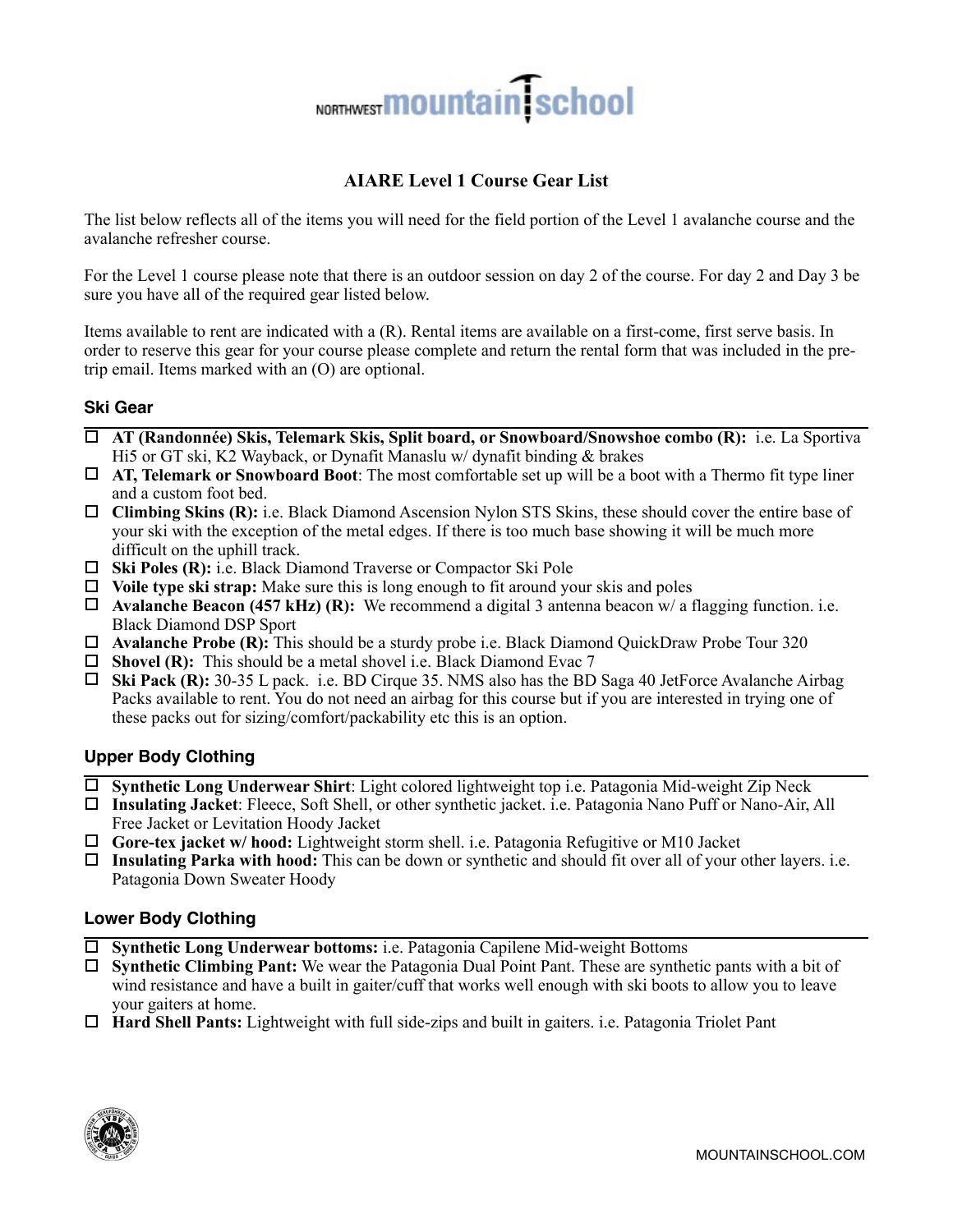# NORTHWEST **MOUNTAIN** School

# **AIARE Level 1 Course Gear List**

The list below reflects all of the items you will need for the field portion of the Level 1 avalanche course and the avalanche refresher course.

For the Level 1 course please note that there is an outdoor session on day 2 of the course. For day 2 and Day 3 be sure you have all of the required gear listed below.

Items available to rent are indicated with a (R). Rental items are available on a first-come, first serve basis. In order to reserve this gear for your course please complete and return the rental form that was included in the pretrip email. Items marked with an (O) are optional.

#### **Ski Gear**

- ! **AT (Randonnée) Skis, Telemark Skis, Split board, or Snowboard/Snowshoe combo (R):** i.e. La Sportiva Hi5 or GT ski, K2 Wayback, or Dynafit Manaslu w/ dynafit binding & brakes
- ! **AT, Telemark or Snowboard Boot**: The most comfortable set up will be a boot with a Thermo fit type liner and a custom foot bed.
- ! **Climbing Skins (R):** i.e. Black Diamond Ascension Nylon STS Skins, these should cover the entire base of your ski with the exception of the metal edges. If there is too much base showing it will be much more difficult on the uphill track.
- □ Ski Poles (R): i.e. Black Diamond Traverse or Compactor Ski Pole
- ! **Voile type ski strap:** Make sure this is long enough to fit around your skis and poles
- ! **Avalanche Beacon (457 kHz) (R):** We recommend a digital 3 antenna beacon w/ a flagging function. i.e. Black Diamond DSP Sport
- ! **Avalanche Probe (R):** This should be a sturdy probe i.e. Black Diamond QuickDraw Probe Tour 320
- □ **Shovel (R):** This should be a metal shovel i.e. Black Diamond Evac 7
- ! **Ski Pack (R):** 30-35 L pack. i.e. BD Cirque 35. NMS also has the BD Saga 40 JetForce Avalanche Airbag Packs available to rent. You do not need an airbag for this course but if you are interested in trying one of these packs out for sizing/comfort/packability etc this is an option.

## **Upper Body Clothing**

- ! **Synthetic Long Underwear Shirt**: Light colored lightweight top i.e. Patagonia Mid-weight Zip Neck
- ! **Insulating Jacket**: Fleece, Soft Shell, or other synthetic jacket. i.e. Patagonia Nano Puff or Nano-Air, All Free Jacket or Levitation Hoody Jacket
- ! **Gore-tex jacket w/ hood:** Lightweight storm shell. i.e. Patagonia Refugitive or M10 Jacket
- ! **Insulating Parka with hood:** This can be down or synthetic and should fit over all of your other layers. i.e. Patagonia Down Sweater Hoody

#### **Lower Body Clothing**

- ! **Synthetic Long Underwear bottoms:** i.e. Patagonia Capilene Mid-weight Bottoms
- ! **Synthetic Climbing Pant:** We wear the Patagonia Dual Point Pant. These are synthetic pants with a bit of wind resistance and have a built in gaiter/cuff that works well enough with ski boots to allow you to leave your gaiters at home.
- ! **Hard Shell Pants:** Lightweight with full side-zips and built in gaiters. i.e. Patagonia Triolet Pant